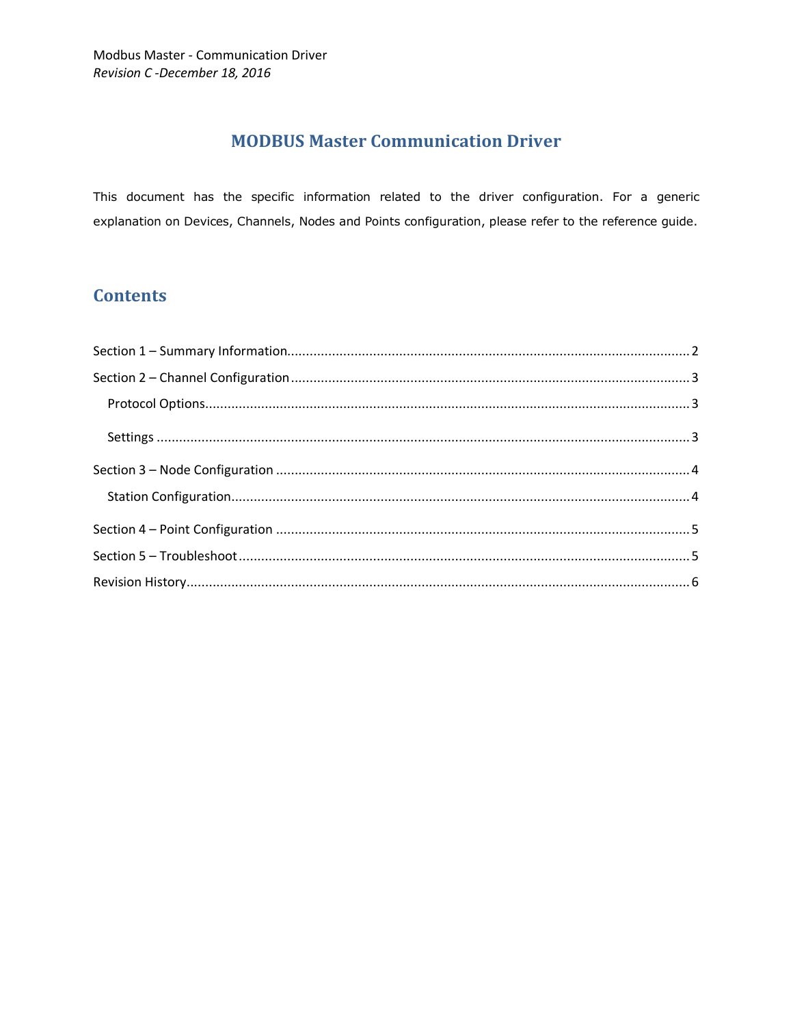# **MODBUS Master Communication Driver**

This document has the specific information related to the driver configuration. For a generic explanation on Devices, Channels, Nodes and Points configuration, please refer to the reference guide.

# **Contents**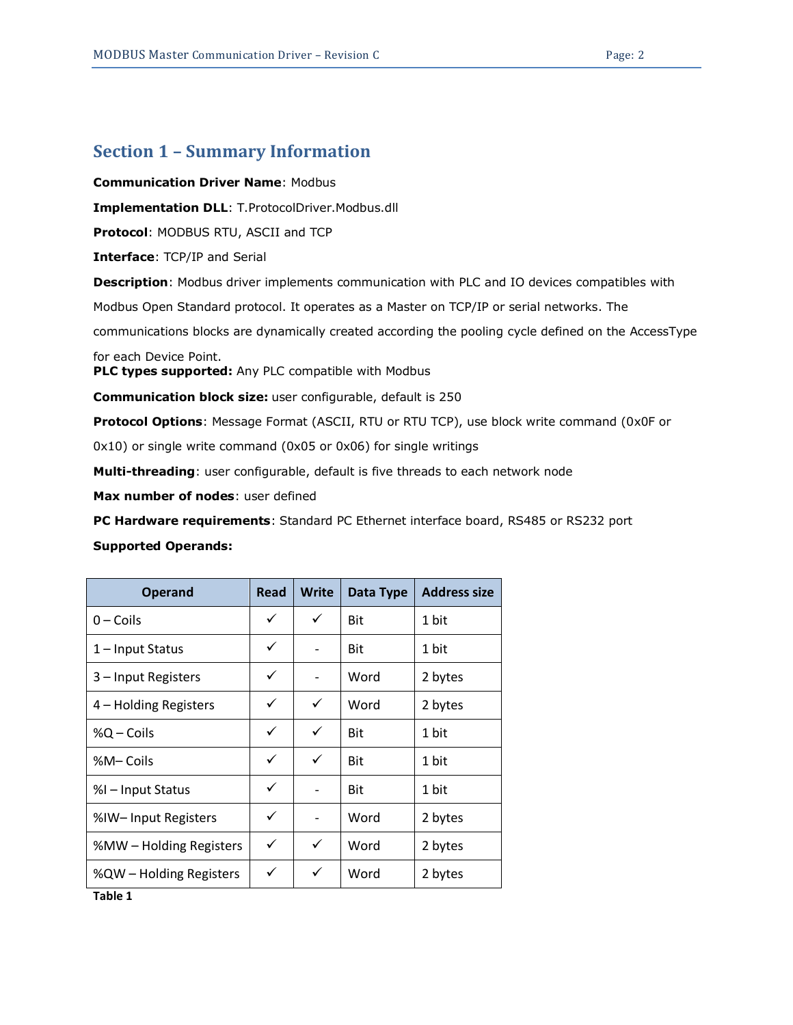### <span id="page-1-0"></span>**Section 1 – Summary Information**

**Communication Driver Name**: Modbus

**Implementation DLL**: T.ProtocolDriver.Modbus.dll

**Protocol**: MODBUS RTU, ASCII and TCP

**Interface**: TCP/IP and Serial

**Description**: Modbus driver implements communication with PLC and IO devices compatibles with

Modbus Open Standard protocol. It operates as a Master on TCP/IP or serial networks. The

communications blocks are dynamically created according the pooling cycle defined on the AccessType

for each Device Point.

**PLC types supported:** Any PLC compatible with Modbus

**Communication block size:** user configurable, default is 250

**Protocol Options**: Message Format (ASCII, RTU or RTU TCP), use block write command (0x0F or

0x10) or single write command (0x05 or 0x06) for single writings

**Multi-threading**: user configurable, default is five threads to each network node

**Max number of nodes**: user defined

**PC Hardware requirements**: Standard PC Ethernet interface board, RS485 or RS232 port

#### **Supported Operands:**

| <b>Operand</b>          | Read | <b>Write</b> | Data Type  | <b>Address size</b> |
|-------------------------|------|--------------|------------|---------------------|
| $0$ – Coils             | ✓    | ✓            | <b>Bit</b> | 1 bit               |
| 1 – Input Status        | ✓    |              | Bit        | 1 bit               |
| 3 - Input Registers     | ✓    |              | Word       | 2 bytes             |
| 4 – Holding Registers   | ✓    | ✓            | Word       | 2 bytes             |
| %Q – Coils              | ✓    | ✓            | <b>Bit</b> | 1 bit               |
| %M-Coils                | ✓    | ✓            | <b>Bit</b> | 1 bit               |
| %I – Input Status       | ✓    |              | Bit        | 1 bit               |
| %IW-Input Registers     | ✓    |              | Word       | 2 bytes             |
| %MW – Holding Registers | ✓    | ✓            | Word       | 2 bytes             |
| %QW – Holding Registers | ✓    | ✓            | Word       | 2 bytes             |

<span id="page-1-1"></span>**Table 1**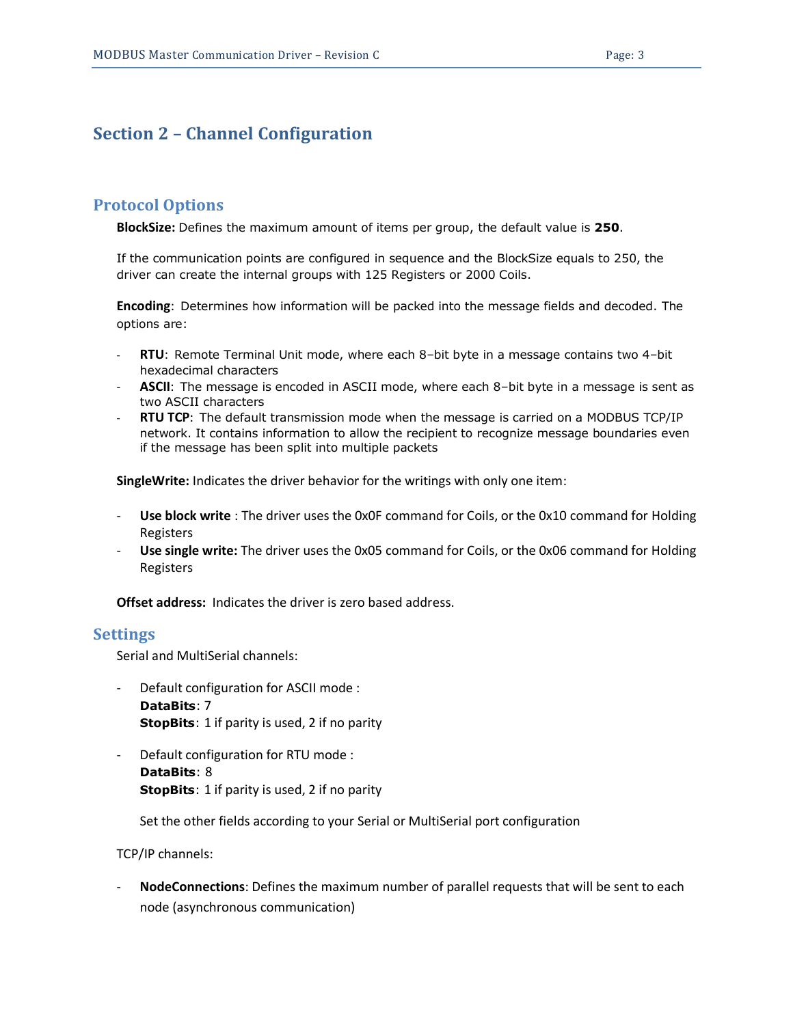### <span id="page-2-0"></span>**Section 2 – Channel Configuration**

#### <span id="page-2-1"></span>**Protocol Options**

**BlockSize:** Defines the maximum amount of items per group, the default value is **250**.

If the communication points are configured in sequence and the BlockSize equals to 250, the driver can create the internal groups with 125 Registers or 2000 Coils.

**Encoding**: Determines how information will be packed into the message fields and decoded. The options are:

- **RTU**: Remote Terminal Unit mode, where each 8–bit byte in a message contains two 4–bit hexadecimal characters
- **ASCII**: The message is encoded in ASCII mode, where each 8–bit byte in a message is sent as two ASCII characters
- **RTU TCP**: The default transmission mode when the message is carried on a MODBUS TCP/IP network. It contains information to allow the recipient to recognize message boundaries even if the message has been split into multiple packets

**SingleWrite:** Indicates the driver behavior for the writings with only one item:

- **Use block write** : The driver uses the 0x0F command for Coils, or the 0x10 command for Holding Registers
- **Use single write:** The driver uses the 0x05 command for Coils, or the 0x06 command for Holding Registers

**Offset address:** Indicates the driver is zero based address.

#### <span id="page-2-2"></span>**Settings**

Serial and MultiSerial channels:

- Default configuration for ASCII mode : **DataBits**: 7 **StopBits**: 1 if parity is used, 2 if no parity
- Default configuration for RTU mode : **DataBits**: 8 **StopBits**: 1 if parity is used, 2 if no parity

Set the other fields according to your Serial or MultiSerial port configuration

TCP/IP channels:

- **NodeConnections**: Defines the maximum number of parallel requests that will be sent to each node (asynchronous communication)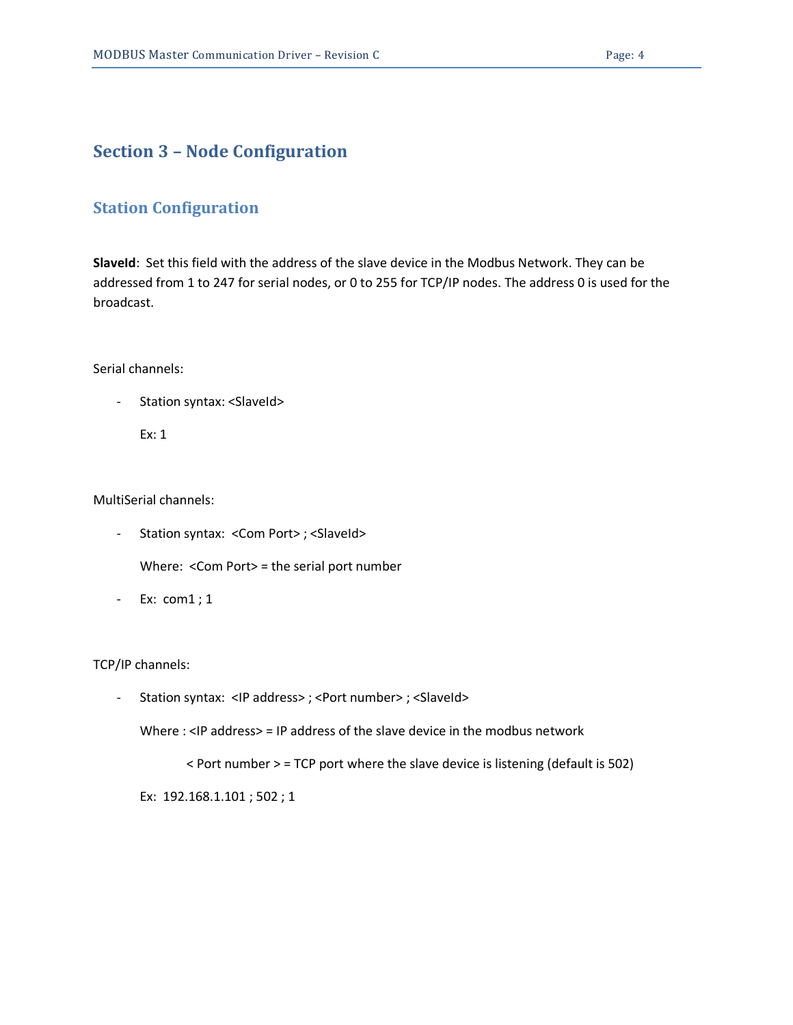# <span id="page-3-0"></span>**Section 3 – Node Configuration**

### <span id="page-3-1"></span>**Station Configuration**

**SlaveId**: Set this field with the address of the slave device in the Modbus Network. They can be addressed from 1 to 247 for serial nodes, or 0 to 255 for TCP/IP nodes. The address 0 is used for the broadcast.

Serial channels:

- Station syntax: <SlaveId>

Ex: 1

MultiSerial channels:

- Station syntax: < Com Port>; < SlaveId>

Where: <Com Port> = the serial port number

- Ex: com1 ; 1

TCP/IP channels:

- Station syntax: <IP address>; <Port number>; <SlaveId>

Where : <IP address> = IP address of the slave device in the modbus network

< Port number > = TCP port where the slave device is listening (default is 502)

Ex: 192.168.1.101 ; 502 ; 1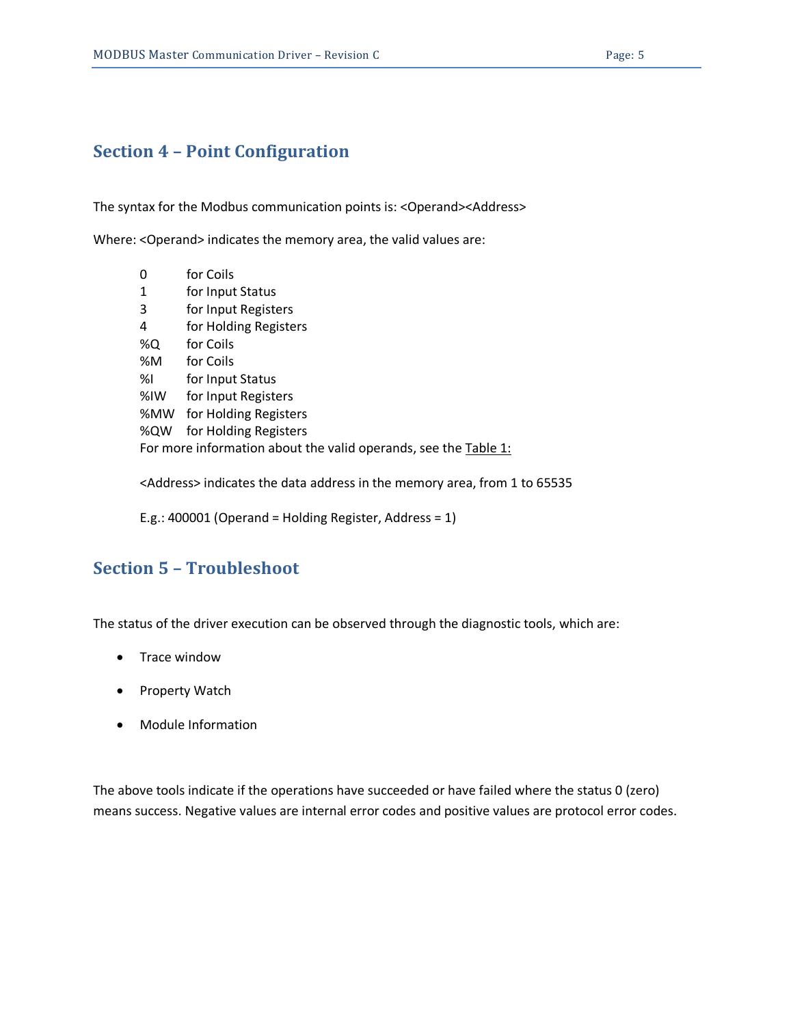## <span id="page-4-0"></span>**Section 4 – Point Configuration**

The syntax for the Modbus communication points is: < Operand><Address>

Where: <Operand> indicates the memory area, the valid values are:

| 0                                                               | for Coils             |  |  |  |
|-----------------------------------------------------------------|-----------------------|--|--|--|
| 1                                                               | for Input Status      |  |  |  |
| 3                                                               | for Input Registers   |  |  |  |
| 4                                                               | for Holding Registers |  |  |  |
| %Q                                                              | for Coils             |  |  |  |
| %M                                                              | for Coils             |  |  |  |
| %l                                                              | for Input Status      |  |  |  |
| $%$ IW                                                          | for Input Registers   |  |  |  |
| %MW                                                             | for Holding Registers |  |  |  |
| %QW                                                             | for Holding Registers |  |  |  |
| For more information about the valid operands, see the Table 1: |                       |  |  |  |

<Address> indicates the data address in the memory area, from 1 to 65535

E.g.: 400001 (Operand = Holding Register, Address = 1)

### <span id="page-4-1"></span>**Section 5 – Troubleshoot**

The status of the driver execution can be observed through the diagnostic tools, which are:

- Trace window
- Property Watch
- Module Information

The above tools indicate if the operations have succeeded or have failed where the status 0 (zero) means success. Negative values are internal error codes and positive values are protocol error codes.